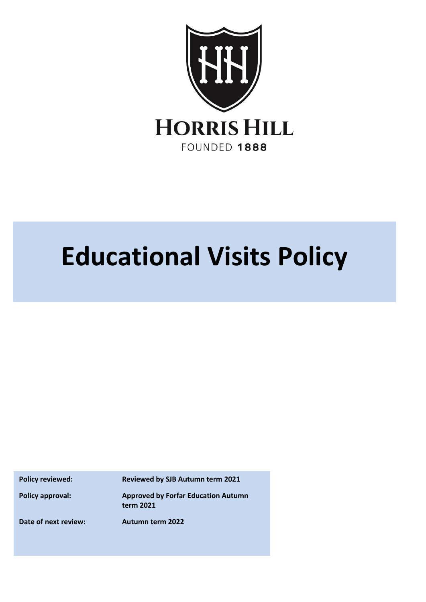

# **Educational Visits Policy**

**Policy reviewed: Reviewed by SJB Autumn term 2021**

**Policy approval: Approved by Forfar Education Autumn term 2021**

**Date of next review: Autumn term 2022**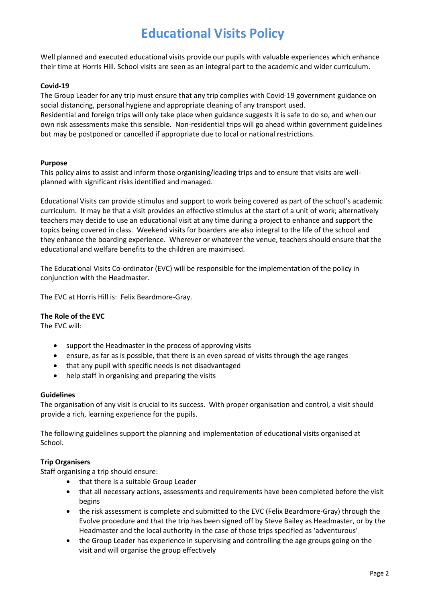## **Educational Visits Policy**

Well planned and executed educational visits provide our pupils with valuable experiences which enhance their time at Horris Hill. School visits are seen as an integral part to the academic and wider curriculum.

#### **Covid-19**

The Group Leader for any trip must ensure that any trip complies with Covid-19 government guidance on social distancing, personal hygiene and appropriate cleaning of any transport used. Residential and foreign trips will only take place when guidance suggests it is safe to do so, and when our own risk assessments make this sensible. Non-residential trips will go ahead within government guidelines but may be postponed or cancelled if appropriate due to local or national restrictions.

#### **Purpose**

This policy aims to assist and inform those organising/leading trips and to ensure that visits are wellplanned with significant risks identified and managed.

Educational Visits can provide stimulus and support to work being covered as part of the school's academic curriculum. It may be that a visit provides an effective stimulus at the start of a unit of work; alternatively teachers may decide to use an educational visit at any time during a project to enhance and support the topics being covered in class. Weekend visits for boarders are also integral to the life of the school and they enhance the boarding experience. Wherever or whatever the venue, teachers should ensure that the educational and welfare benefits to the children are maximised.

The Educational Visits Co-ordinator (EVC) will be responsible for the implementation of the policy in conjunction with the Headmaster.

The EVC at Horris Hill is: Felix Beardmore-Gray.

#### **The Role of the EVC**

The EVC will:

- support the Headmaster in the process of approving visits
- ensure, as far as is possible, that there is an even spread of visits through the age ranges
- that any pupil with specific needs is not disadvantaged
- help staff in organising and preparing the visits

#### **Guidelines**

The organisation of any visit is crucial to its success. With proper organisation and control, a visit should provide a rich, learning experience for the pupils.

The following guidelines support the planning and implementation of educational visits organised at School.

#### **Trip Organisers**

Staff organising a trip should ensure:

- that there is a suitable Group Leader
- that all necessary actions, assessments and requirements have been completed before the visit begins
- the risk assessment is complete and submitted to the EVC (Felix Beardmore-Gray) through the Evolve procedure and that the trip has been signed off by Steve Bailey as Headmaster, or by the Headmaster and the local authority in the case of those trips specified as 'adventurous'
- the Group Leader has experience in supervising and controlling the age groups going on the visit and will organise the group effectively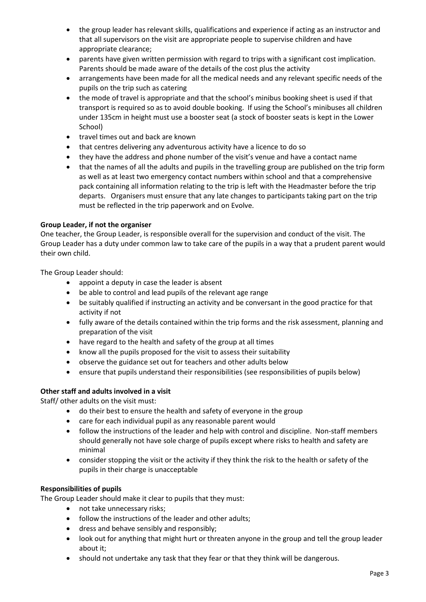- the group leader has relevant skills, qualifications and experience if acting as an instructor and that all supervisors on the visit are appropriate people to supervise children and have appropriate clearance;
- parents have given written permission with regard to trips with a significant cost implication. Parents should be made aware of the details of the cost plus the activity
- arrangements have been made for all the medical needs and any relevant specific needs of the pupils on the trip such as catering
- the mode of travel is appropriate and that the school's minibus booking sheet is used if that transport is required so as to avoid double booking. If using the School's minibuses all children under 135cm in height must use a booster seat (a stock of booster seats is kept in the Lower School)
- travel times out and back are known
- that centres delivering any adventurous activity have a licence to do so
- they have the address and phone number of the visit's venue and have a contact name
- that the names of all the adults and pupils in the travelling group are published on the trip form as well as at least two emergency contact numbers within school and that a comprehensive pack containing all information relating to the trip is left with the Headmaster before the trip departs. Organisers must ensure that any late changes to participants taking part on the trip must be reflected in the trip paperwork and on Evolve.

#### **Group Leader, if not the organiser**

One teacher, the Group Leader, is responsible overall for the supervision and conduct of the visit. The Group Leader has a duty under common law to take care of the pupils in a way that a prudent parent would their own child.

The Group Leader should:

- appoint a deputy in case the leader is absent
- be able to control and lead pupils of the relevant age range
- be suitably qualified if instructing an activity and be conversant in the good practice for that activity if not
- fully aware of the details contained within the trip forms and the risk assessment, planning and preparation of the visit
- have regard to the health and safety of the group at all times
- know all the pupils proposed for the visit to assess their suitability
- observe the guidance set out for teachers and other adults below
- ensure that pupils understand their responsibilities (see responsibilities of pupils below)

#### **Other staff and adults involved in a visit**

Staff/ other adults on the visit must:

- do their best to ensure the health and safety of everyone in the group
- care for each individual pupil as any reasonable parent would
- follow the instructions of the leader and help with control and discipline. Non-staff members should generally not have sole charge of pupils except where risks to health and safety are minimal
- consider stopping the visit or the activity if they think the risk to the health or safety of the pupils in their charge is unacceptable

#### **Responsibilities of pupils**

The Group Leader should make it clear to pupils that they must:

- not take unnecessary risks;
- follow the instructions of the leader and other adults;
- dress and behave sensibly and responsibly;
- look out for anything that might hurt or threaten anyone in the group and tell the group leader about it;
- should not undertake any task that they fear or that they think will be dangerous.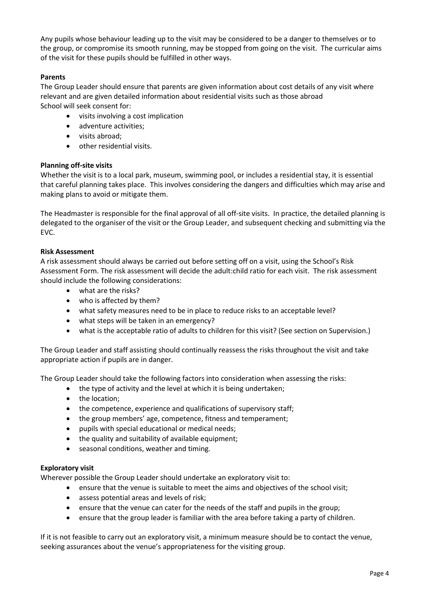Any pupils whose behaviour leading up to the visit may be considered to be a danger to themselves or to the group, or compromise its smooth running, may be stopped from going on the visit. The curricular aims of the visit for these pupils should be fulfilled in other ways.

#### **Parents**

The Group Leader should ensure that parents are given information about cost details of any visit where relevant and are given detailed information about residential visits such as those abroad School will seek consent for:

- visits involving a cost implication
- adventure activities;
- visits abroad;
- other residential visits.

#### **Planning off-site visits**

Whether the visit is to a local park, museum, swimming pool, or includes a residential stay, it is essential that careful planning takes place. This involves considering the dangers and difficulties which may arise and making plans to avoid or mitigate them.

The Headmaster is responsible for the final approval of all off-site visits. In practice, the detailed planning is delegated to the organiser of the visit or the Group Leader, and subsequent checking and submitting via the EVC.

#### **Risk Assessment**

A risk assessment should always be carried out before setting off on a visit, using the School's Risk Assessment Form. The risk assessment will decide the adult:child ratio for each visit. The risk assessment should include the following considerations:

- what are the risks?
- who is affected by them?
- what safety measures need to be in place to reduce risks to an acceptable level?
- what steps will be taken in an emergency?
- what is the acceptable ratio of adults to children for this visit? (See section on Supervision.)

The Group Leader and staff assisting should continually reassess the risks throughout the visit and take appropriate action if pupils are in danger.

The Group Leader should take the following factors into consideration when assessing the risks:

- the type of activity and the level at which it is being undertaken;
- the location;
- the competence, experience and qualifications of supervisory staff;
- the group members' age, competence, fitness and temperament;
- pupils with special educational or medical needs;
- the quality and suitability of available equipment;
- seasonal conditions, weather and timing.

#### **Exploratory visit**

Wherever possible the Group Leader should undertake an exploratory visit to:

- ensure that the venue is suitable to meet the aims and objectives of the school visit;
- assess potential areas and levels of risk;
- ensure that the venue can cater for the needs of the staff and pupils in the group;
- ensure that the group leader is familiar with the area before taking a party of children.

If it is not feasible to carry out an exploratory visit, a minimum measure should be to contact the venue, seeking assurances about the venue's appropriateness for the visiting group.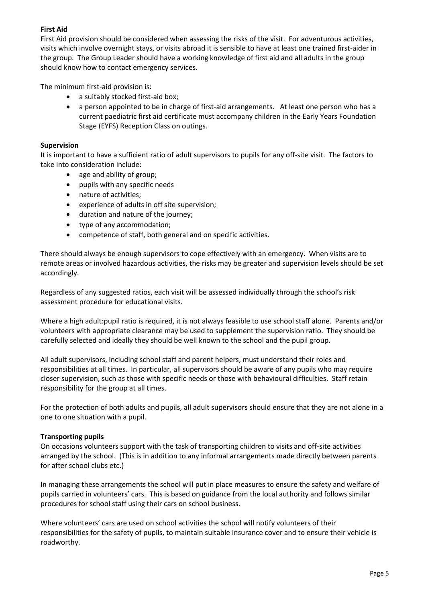#### **First Aid**

First Aid provision should be considered when assessing the risks of the visit. For adventurous activities, visits which involve overnight stays, or visits abroad it is sensible to have at least one trained first-aider in the group. The Group Leader should have a working knowledge of first aid and all adults in the group should know how to contact emergency services.

The minimum first-aid provision is:

- a suitably stocked first-aid box;
- a person appointed to be in charge of first-aid arrangements. At least one person who has a current paediatric first aid certificate must accompany children in the Early Years Foundation Stage (EYFS) Reception Class on outings.

#### **Supervision**

It is important to have a sufficient ratio of adult supervisors to pupils for any off-site visit. The factors to take into consideration include:

- age and ability of group;
- pupils with any specific needs
- nature of activities;
- experience of adults in off site supervision;
- duration and nature of the journey;
- type of any accommodation;
- competence of staff, both general and on specific activities.

There should always be enough supervisors to cope effectively with an emergency. When visits are to remote areas or involved hazardous activities, the risks may be greater and supervision levels should be set accordingly.

Regardless of any suggested ratios, each visit will be assessed individually through the school's risk assessment procedure for educational visits.

Where a high adult:pupil ratio is required, it is not always feasible to use school staff alone. Parents and/or volunteers with appropriate clearance may be used to supplement the supervision ratio. They should be carefully selected and ideally they should be well known to the school and the pupil group.

All adult supervisors, including school staff and parent helpers, must understand their roles and responsibilities at all times. In particular, all supervisors should be aware of any pupils who may require closer supervision, such as those with specific needs or those with behavioural difficulties. Staff retain responsibility for the group at all times.

For the protection of both adults and pupils, all adult supervisors should ensure that they are not alone in a one to one situation with a pupil.

#### **Transporting pupils**

On occasions volunteers support with the task of transporting children to visits and off-site activities arranged by the school. (This is in addition to any informal arrangements made directly between parents for after school clubs etc.)

In managing these arrangements the school will put in place measures to ensure the safety and welfare of pupils carried in volunteers' cars. This is based on guidance from the local authority and follows similar procedures for school staff using their cars on school business.

Where volunteers' cars are used on school activities the school will notify volunteers of their responsibilities for the safety of pupils, to maintain suitable insurance cover and to ensure their vehicle is roadworthy.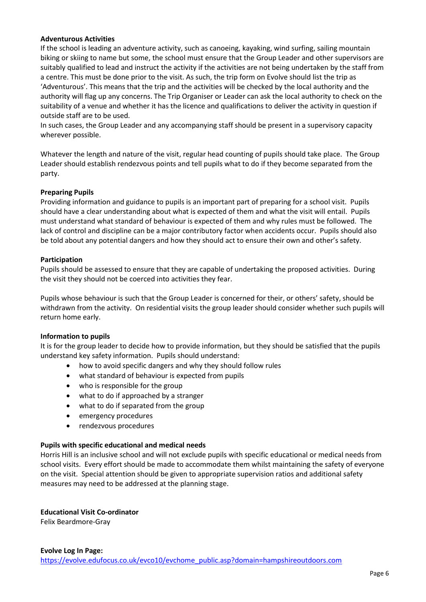#### **Adventurous Activities**

If the school is leading an adventure activity, such as canoeing, kayaking, wind surfing, sailing mountain biking or skiing to name but some, the school must ensure that the Group Leader and other supervisors are suitably qualified to lead and instruct the activity if the activities are not being undertaken by the staff from a centre. This must be done prior to the visit. As such, the trip form on Evolve should list the trip as 'Adventurous'. This means that the trip and the activities will be checked by the local authority and the authority will flag up any concerns. The Trip Organiser or Leader can ask the local authority to check on the suitability of a venue and whether it has the licence and qualifications to deliver the activity in question if outside staff are to be used.

In such cases, the Group Leader and any accompanying staff should be present in a supervisory capacity wherever possible.

Whatever the length and nature of the visit, regular head counting of pupils should take place. The Group Leader should establish rendezvous points and tell pupils what to do if they become separated from the party.

#### **Preparing Pupils**

Providing information and guidance to pupils is an important part of preparing for a school visit. Pupils should have a clear understanding about what is expected of them and what the visit will entail. Pupils must understand what standard of behaviour is expected of them and why rules must be followed. The lack of control and discipline can be a major contributory factor when accidents occur. Pupils should also be told about any potential dangers and how they should act to ensure their own and other's safety.

#### **Participation**

Pupils should be assessed to ensure that they are capable of undertaking the proposed activities. During the visit they should not be coerced into activities they fear.

Pupils whose behaviour is such that the Group Leader is concerned for their, or others' safety, should be withdrawn from the activity. On residential visits the group leader should consider whether such pupils will return home early.

#### **Information to pupils**

It is for the group leader to decide how to provide information, but they should be satisfied that the pupils understand key safety information. Pupils should understand:

- how to avoid specific dangers and why they should follow rules
- what standard of behaviour is expected from pupils
- who is responsible for the group
- what to do if approached by a stranger
- what to do if separated from the group
- emergency procedures
- rendezvous procedures

#### **Pupils with specific educational and medical needs**

Horris Hill is an inclusive school and will not exclude pupils with specific educational or medical needs from school visits. Every effort should be made to accommodate them whilst maintaining the safety of everyone on the visit. Special attention should be given to appropriate supervision ratios and additional safety measures may need to be addressed at the planning stage.

#### **Educational Visit Co-ordinator**

Felix Beardmore-Gray